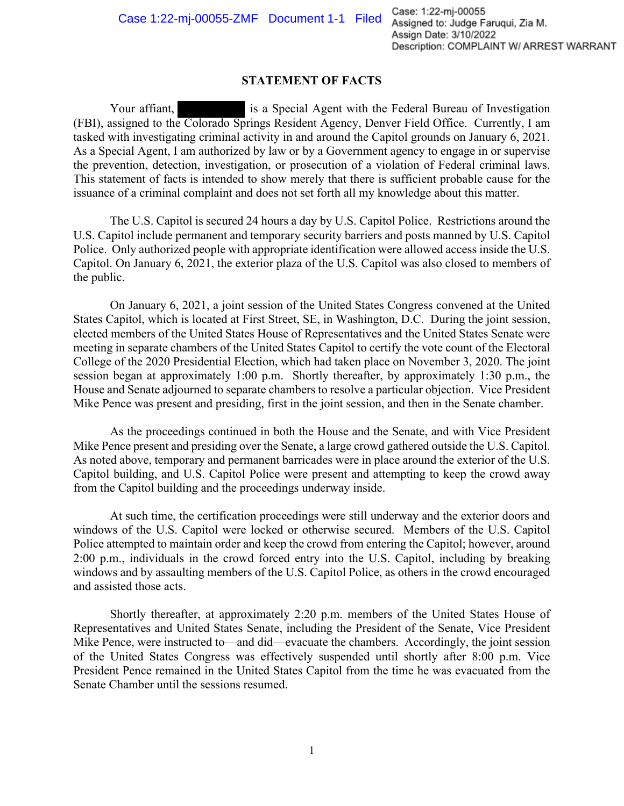## **STATEMENT OF FACTS**

Your affiant, is a Special Agent with the Federal Bureau of Investigation (FBI), assigned to the Colorado Springs Resident Agency, Denver Field Office. Currently, I am tasked with investigating criminal activity in and around the Capitol grounds on January 6, 2021. As a Special Agent, I am authorized by law or by a Government agency to engage in or supervise the prevention, detection, investigation, or prosecution of a violation of Federal criminal laws. This statement of facts is intended to show merely that there is sufficient probable cause for the issuance of a criminal complaint and does not set forth all my knowledge about this matter.

The U.S. Capitol is secured 24 hours a day by U.S. Capitol Police. Restrictions around the U.S. Capitol include permanent and temporary security barriers and posts manned by U.S. Capitol Police. Only authorized people with appropriate identification were allowed access inside the U.S. Capitol. On January 6, 2021, the exterior plaza of the U.S. Capitol was also closed to members of the public.

On January 6, 2021, a joint session of the United States Congress convened at the United States Capitol, which is located at First Street, SE, in Washington, D.C. During the joint session, elected members of the United States House of Representatives and the United States Senate were meeting in separate chambers of the United States Capitol to certify the vote count of the Electoral College of the 2020 Presidential Election, which had taken place on November 3, 2020. The joint session began at approximately 1:00 p.m. Shortly thereafter, by approximately 1:30 p.m., the House and Senate adjourned to separate chambers to resolve a particular objection. Vice President Mike Pence was present and presiding, first in the joint session, and then in the Senate chamber.

As the proceedings continued in both the House and the Senate, and with Vice President Mike Pence present and presiding over the Senate, a large crowd gathered outside the U.S. Capitol. As noted above, temporary and permanent barricades were in place around the exterior of the U.S. Capitol building, and U.S. Capitol Police were present and attempting to keep the crowd away from the Capitol building and the proceedings underway inside.

At such time, the certification proceedings were still underway and the exterior doors and windows of the U.S. Capitol were locked or otherwise secured. Members of the U.S. Capitol Police attempted to maintain order and keep the crowd from entering the Capitol; however, around 2:00 p.m., individuals in the crowd forced entry into the U.S. Capitol, including by breaking windows and by assaulting members of the U.S. Capitol Police, as others in the crowd encouraged and assisted those acts.

Shortly thereafter, at approximately 2:20 p.m. members of the United States House of Representatives and United States Senate, including the President of the Senate, Vice President Mike Pence, were instructed to—and did—evacuate the chambers. Accordingly, the joint session of the United States Congress was effectively suspended until shortly after 8:00 p.m. Vice President Pence remained in the United States Capitol from the time he was evacuated from the Senate Chamber until the sessions resumed.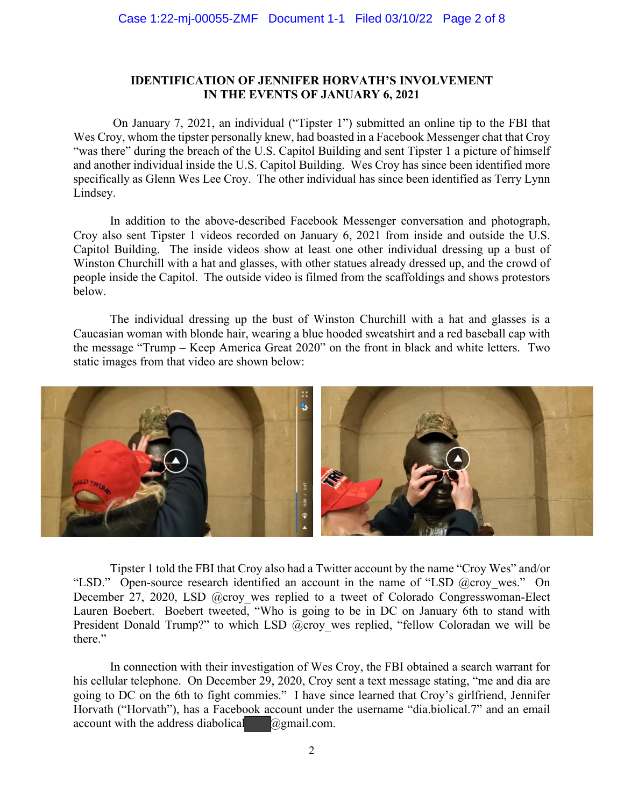# **IDENTIFICATION OF JENNIFER HORVATH'S INVOLVEMENT IN THE EVENTS OF JANUARY 6, 2021**

On January 7, 2021, an individual ("Tipster 1") submitted an online tip to the FBI that Wes Croy, whom the tipster personally knew, had boasted in a Facebook Messenger chat that Croy "was there" during the breach of the U.S. Capitol Building and sent Tipster 1 a picture of himself and another individual inside the U.S. Capitol Building. Wes Croy has since been identified more specifically as Glenn Wes Lee Croy. The other individual has since been identified as Terry Lynn Lindsey.

In addition to the above-described Facebook Messenger conversation and photograph, Croy also sent Tipster 1 videos recorded on January 6, 2021 from inside and outside the U.S. Capitol Building. The inside videos show at least one other individual dressing up a bust of Winston Churchill with a hat and glasses, with other statues already dressed up, and the crowd of people inside the Capitol. The outside video is filmed from the scaffoldings and shows protestors below.

The individual dressing up the bust of Winston Churchill with a hat and glasses is a Caucasian woman with blonde hair, wearing a blue hooded sweatshirt and a red baseball cap with the message "Trump – Keep America Great 2020" on the front in black and white letters. Two static images from that video are shown below:



Tipster 1 told the FBI that Croy also had a Twitter account by the name "Croy Wes" and/or "LSD." Open-source research identified an account in the name of "LSD @croy\_wes." On December 27, 2020, LSD @croy wes replied to a tweet of Colorado Congresswoman-Elect Lauren Boebert. Boebert tweeted, "Who is going to be in DC on January 6th to stand with President Donald Trump?" to which LSD @croy wes replied, "fellow Coloradan we will be there."

In connection with their investigation of Wes Croy, the FBI obtained a search warrant for his cellular telephone. On December 29, 2020, Croy sent a text message stating, "me and dia are going to DC on the 6th to fight commies." I have since learned that Croy's girlfriend, Jennifer Horvath ("Horvath"), has a Facebook account under the username "dia.biolical.7" and an email account with the address diabolical  $\omega$ gmail.com.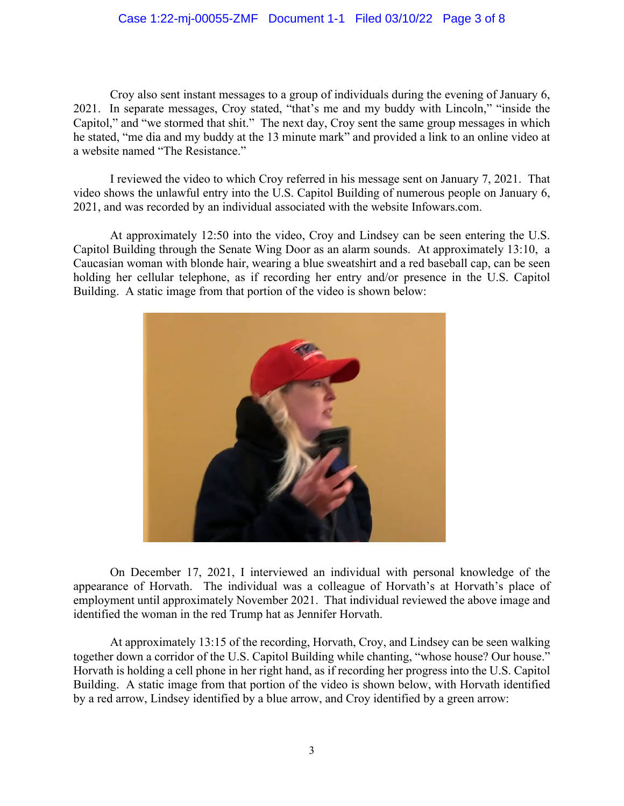## Case 1:22-mj-00055-ZMF Document 1-1 Filed 03/10/22 Page 3 of 8

Croy also sent instant messages to a group of individuals during the evening of January 6, 2021. In separate messages, Croy stated, "that's me and my buddy with Lincoln," "inside the Capitol," and "we stormed that shit." The next day, Croy sent the same group messages in which he stated, "me dia and my buddy at the 13 minute mark" and provided a link to an online video at a website named "The Resistance."

I reviewed the video to which Croy referred in his message sent on January 7, 2021. That video shows the unlawful entry into the U.S. Capitol Building of numerous people on January 6, 2021, and was recorded by an individual associated with the website Infowars.com.

At approximately 12:50 into the video, Croy and Lindsey can be seen entering the U.S. Capitol Building through the Senate Wing Door as an alarm sounds. At approximately 13:10, a Caucasian woman with blonde hair, wearing a blue sweatshirt and a red baseball cap, can be seen holding her cellular telephone, as if recording her entry and/or presence in the U.S. Capitol Building. A static image from that portion of the video is shown below:



On December 17, 2021, I interviewed an individual with personal knowledge of the appearance of Horvath. The individual was a colleague of Horvath's at Horvath's place of employment until approximately November 2021. That individual reviewed the above image and identified the woman in the red Trump hat as Jennifer Horvath.

At approximately 13:15 of the recording, Horvath, Croy, and Lindsey can be seen walking together down a corridor of the U.S. Capitol Building while chanting, "whose house? Our house." Horvath is holding a cell phone in her right hand, as if recording her progress into the U.S. Capitol Building. A static image from that portion of the video is shown below, with Horvath identified by a red arrow, Lindsey identified by a blue arrow, and Croy identified by a green arrow: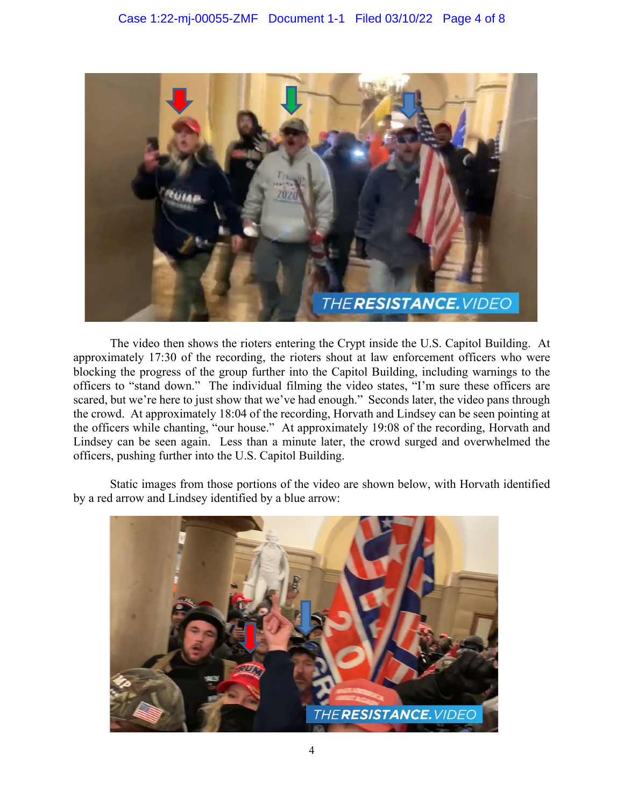

The video then shows the rioters entering the Crypt inside the U.S. Capitol Building. At approximately 17:30 of the recording, the rioters shout at law enforcement officers who were blocking the progress of the group further into the Capitol Building, including warnings to the officers to "stand down." The individual filming the video states, "I'm sure these officers are scared, but we're here to just show that we've had enough." Seconds later, the video pans through the crowd. At approximately 18:04 of the recording, Horvath and Lindsey can be seen pointing at the officers while chanting, "our house." At approximately 19:08 of the recording, Horvath and Lindsey can be seen again. Less than a minute later, the crowd surged and overwhelmed the officers, pushing further into the U.S. Capitol Building.

Static images from those portions of the video are shown below, with Horvath identified by a red arrow and Lindsey identified by a blue arrow:

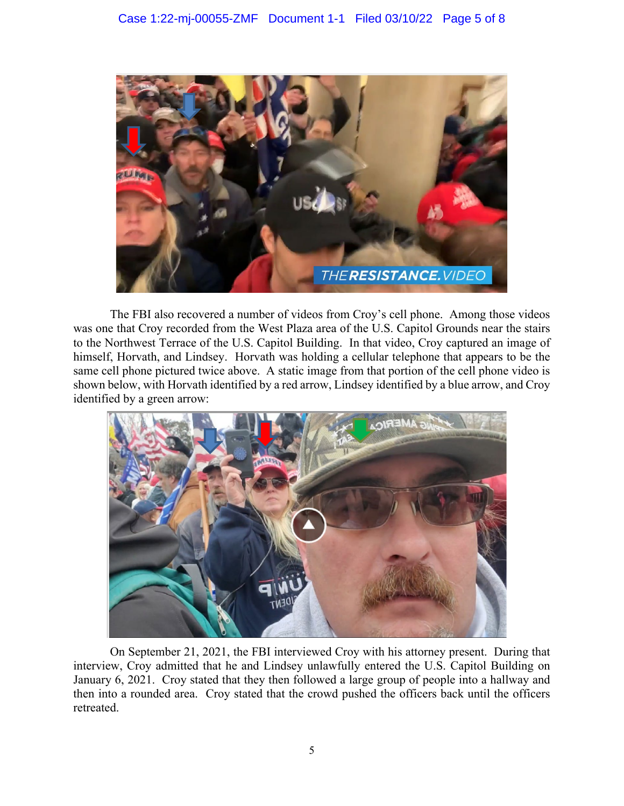

The FBI also recovered a number of videos from Croy's cell phone. Among those videos was one that Croy recorded from the West Plaza area of the U.S. Capitol Grounds near the stairs to the Northwest Terrace of the U.S. Capitol Building. In that video, Croy captured an image of himself, Horvath, and Lindsey. Horvath was holding a cellular telephone that appears to be the same cell phone pictured twice above. A static image from that portion of the cell phone video is shown below, with Horvath identified by a red arrow, Lindsey identified by a blue arrow, and Croy identified by a green arrow:



On September 21, 2021, the FBI interviewed Croy with his attorney present. During that interview, Croy admitted that he and Lindsey unlawfully entered the U.S. Capitol Building on January 6, 2021. Croy stated that they then followed a large group of people into a hallway and then into a rounded area. Croy stated that the crowd pushed the officers back until the officers retreated.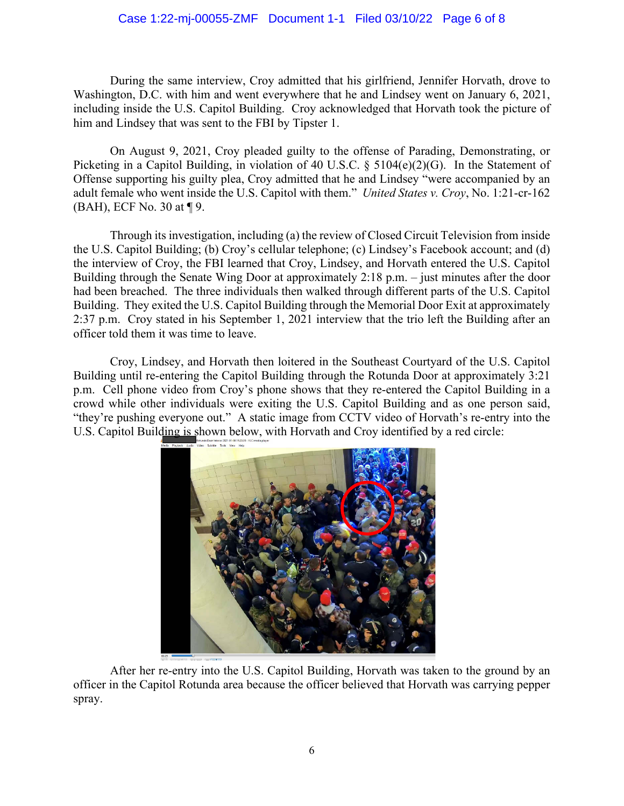## Case 1:22-mj-00055-ZMF Document 1-1 Filed 03/10/22 Page 6 of 8

During the same interview, Croy admitted that his girlfriend, Jennifer Horvath, drove to Washington, D.C. with him and went everywhere that he and Lindsey went on January 6, 2021, including inside the U.S. Capitol Building. Croy acknowledged that Horvath took the picture of him and Lindsey that was sent to the FBI by Tipster 1.

On August 9, 2021, Croy pleaded guilty to the offense of Parading, Demonstrating, or Picketing in a Capitol Building, in violation of 40 U.S.C. § 5104(e)(2)(G). In the Statement of Offense supporting his guilty plea, Croy admitted that he and Lindsey "were accompanied by an adult female who went inside the U.S. Capitol with them." *United States v. Croy*, No. 1:21-cr-162 (BAH), ECF No. 30 at ¶ 9.

Through its investigation, including (a) the review of Closed Circuit Television from inside the U.S. Capitol Building; (b) Croy's cellular telephone; (c) Lindsey's Facebook account; and (d) the interview of Croy, the FBI learned that Croy, Lindsey, and Horvath entered the U.S. Capitol Building through the Senate Wing Door at approximately 2:18 p.m. – just minutes after the door had been breached. The three individuals then walked through different parts of the U.S. Capitol Building. They exited the U.S. Capitol Building through the Memorial Door Exit at approximately 2:37 p.m. Croy stated in his September 1, 2021 interview that the trio left the Building after an officer told them it was time to leave.

Croy, Lindsey, and Horvath then loitered in the Southeast Courtyard of the U.S. Capitol Building until re-entering the Capitol Building through the Rotunda Door at approximately 3:21 p.m. Cell phone video from Croy's phone shows that they re-entered the Capitol Building in a crowd while other individuals were exiting the U.S. Capitol Building and as one person said, "they're pushing everyone out." A static image from CCTV video of Horvath's re-entry into the U.S. Capitol Building is shown below, with Horvath and Croy identified by a red circle:



After her re-entry into the U.S. Capitol Building, Horvath was taken to the ground by an officer in the Capitol Rotunda area because the officer believed that Horvath was carrying pepper spray.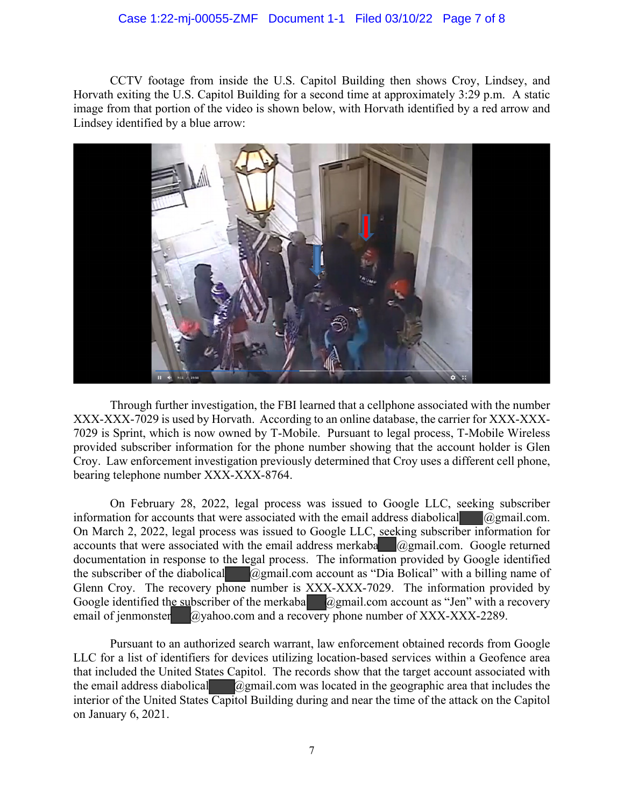#### Case 1:22-mj-00055-ZMF Document 1-1 Filed 03/10/22 Page 7 of 8

CCTV footage from inside the U.S. Capitol Building then shows Croy, Lindsey, and Horvath exiting the U.S. Capitol Building for a second time at approximately 3:29 p.m. A static image from that portion of the video is shown below, with Horvath identified by a red arrow and Lindsey identified by a blue arrow:



Through further investigation, the FBI learned that a cellphone associated with the number XXX-XXX-7029 is used by Horvath. According to an online database, the carrier for XXX-XXX-7029 is Sprint, which is now owned by T-Mobile. Pursuant to legal process, T-Mobile Wireless provided subscriber information for the phone number showing that the account holder is Glen Croy. Law enforcement investigation previously determined that Croy uses a different cell phone, bearing telephone number XXX-XXX-8764.

On February 28, 2022, legal process was issued to Google LLC, seeking subscriber information for accounts that were associated with the email address diabolical  $\alpha$ gmail.com. On March 2, 2022, legal process was issued to Google LLC, seeking subscriber information for accounts that were associated with the email address merkaba  $\omega$ gmail.com. Google returned documentation in response to the legal process. The information provided by Google identified the subscriber of the diabolical @gmail.com account as "Dia Bolical" with a billing name of Glenn Croy. The recovery phone number is XXX-XXX-7029. The information provided by Google identified the subscriber of the merkaba  $\Box$  @gmail.com account as "Jen" with a recovery email of jenmonster  $\qquad \qquad \textcircled{a}$  yahoo.com and a recovery phone number of XXX-XXX-2289.

Pursuant to an authorized search warrant, law enforcement obtained records from Google LLC for a list of identifiers for devices utilizing location-based services within a Geofence area that included the United States Capitol. The records show that the target account associated with the email address diabolical  $\alpha$ gmail.com was located in the geographic area that includes the interior of the United States Capitol Building during and near the time of the attack on the Capitol on January 6, 2021.